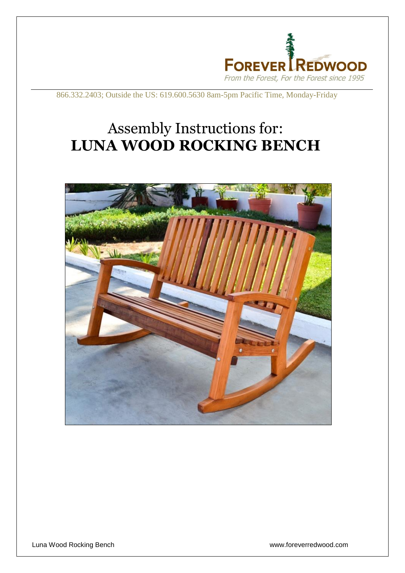

866.332.2403; Outside the US: 619.600.5630 8am-5pm Pacific Time, Monday-Friday

## Assembly Instructions for: **LUNA WOOD ROCKING BENCH**

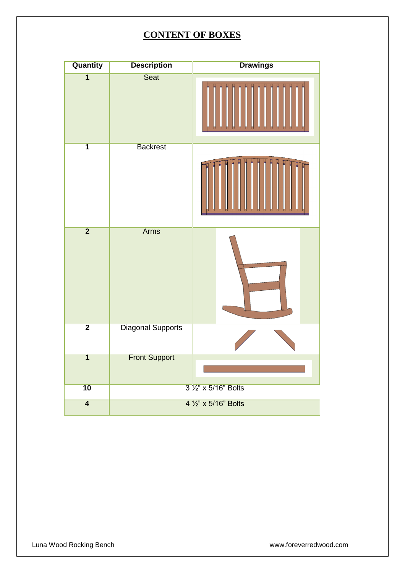## **CONTENT OF BOXES**

| <b>Quantity</b>         | <b>Description</b>       | <b>Drawings</b> |
|-------------------------|--------------------------|-----------------|
| $\overline{1}$          | Seat                     |                 |
| $\overline{\mathbf{1}}$ | <b>Backrest</b>          |                 |
| $\overline{2}$          | <b>Arms</b>              |                 |
| $\overline{2}$          | <b>Diagonal Supports</b> |                 |
| $\overline{1}$          | <b>Front Support</b>     |                 |
| $\overline{10}$         | 3 1/2" x 5/16" Bolts     |                 |
| $\overline{\mathbf{4}}$ | 4 1/2" x 5/16" Bolts     |                 |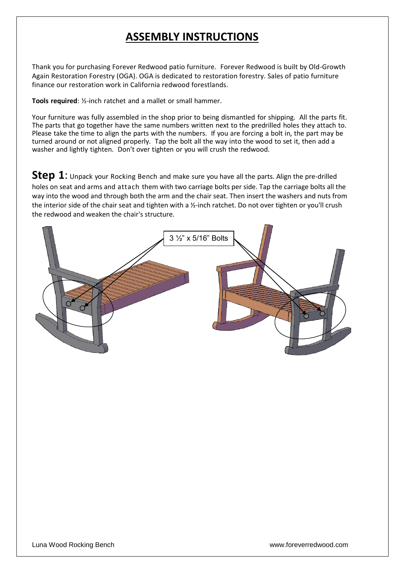## **ASSEMBLY INSTRUCTIONS**

Thank you for purchasing Forever Redwood patio furniture. Forever Redwood is built by Old-Growth Again Restoration Forestry (OGA). OGA is dedicated to restoration forestry. Sales of patio furniture finance our restoration work in California redwood forestlands.

**Tools required**: ½-inch ratchet and a mallet or small hammer.

Your furniture was fully assembled in the shop prior to being dismantled for shipping. All the parts fit. The parts that go together have the same numbers written next to the predrilled holes they attach to. Please take the time to align the parts with the numbers. If you are forcing a bolt in, the part may be turned around or not aligned properly. Tap the bolt all the way into the wood to set it, then add a washer and lightly tighten. Don't over tighten or you will crush the redwood.

**Step 1**: Unpack your Rocking Bench and make sure you have all the parts. Align the pre-drilled holes on seat and arms and attach them with two carriage bolts per side. Tap the carriage bolts all the way into the wood and through both the arm and the chair seat. Then insert the washers and nuts from the interior side of the chair seat and tighten with a  $\frac{y}{x}$ -inch ratchet. Do not over tighten or you'll crush the redwood and weaken the chair's structure.

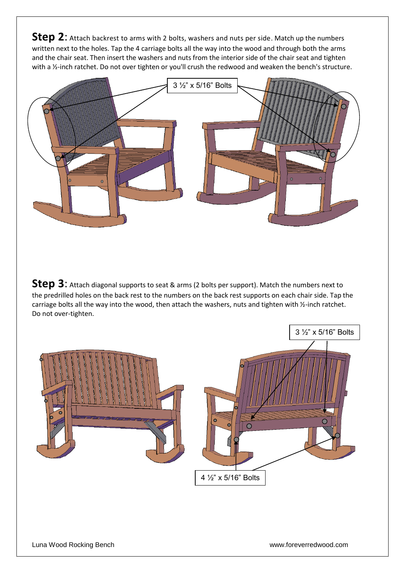**Step 2**: Attach backrest to arms with 2 bolts, washers and nuts per side. Match up the numbers written next to the holes. Tap the 4 carriage bolts all the way into the wood and through both the arms and the chair seat. Then insert the washers and nuts from the interior side of the chair seat and tighten with a 1/2-inch ratchet. Do not over tighten or you'll crush the redwood and weaken the bench's structure.



**Step 3**: Attach diagonal supports to seat & arms (2 bolts per support). Match the numbers next to the predrilled holes on the back rest to the numbers on the back rest supports on each chair side. Tap the carriage bolts all the way into the wood, then attach the washers, nuts and tighten with ½-inch ratchet. Do not over-tighten.